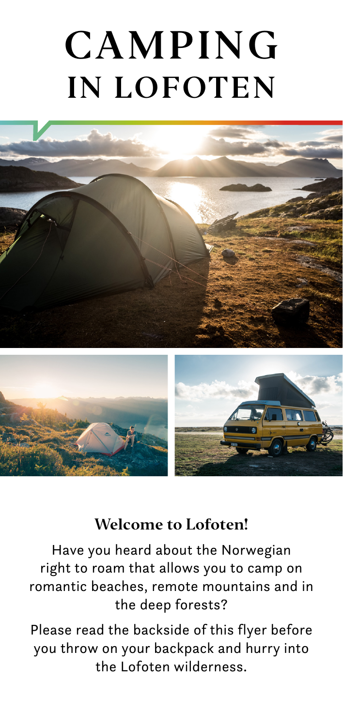# **CAMPING IN LOFOTEN**



#### **Welcome to Lofoten!**

Have you heard about the Norwegian right to roam that allows you to camp on romantic beaches, remote mountains and in the deep forests?

Please read the backside of this flyer before you throw on your backpack and hurry into the Lofoten wilderness.